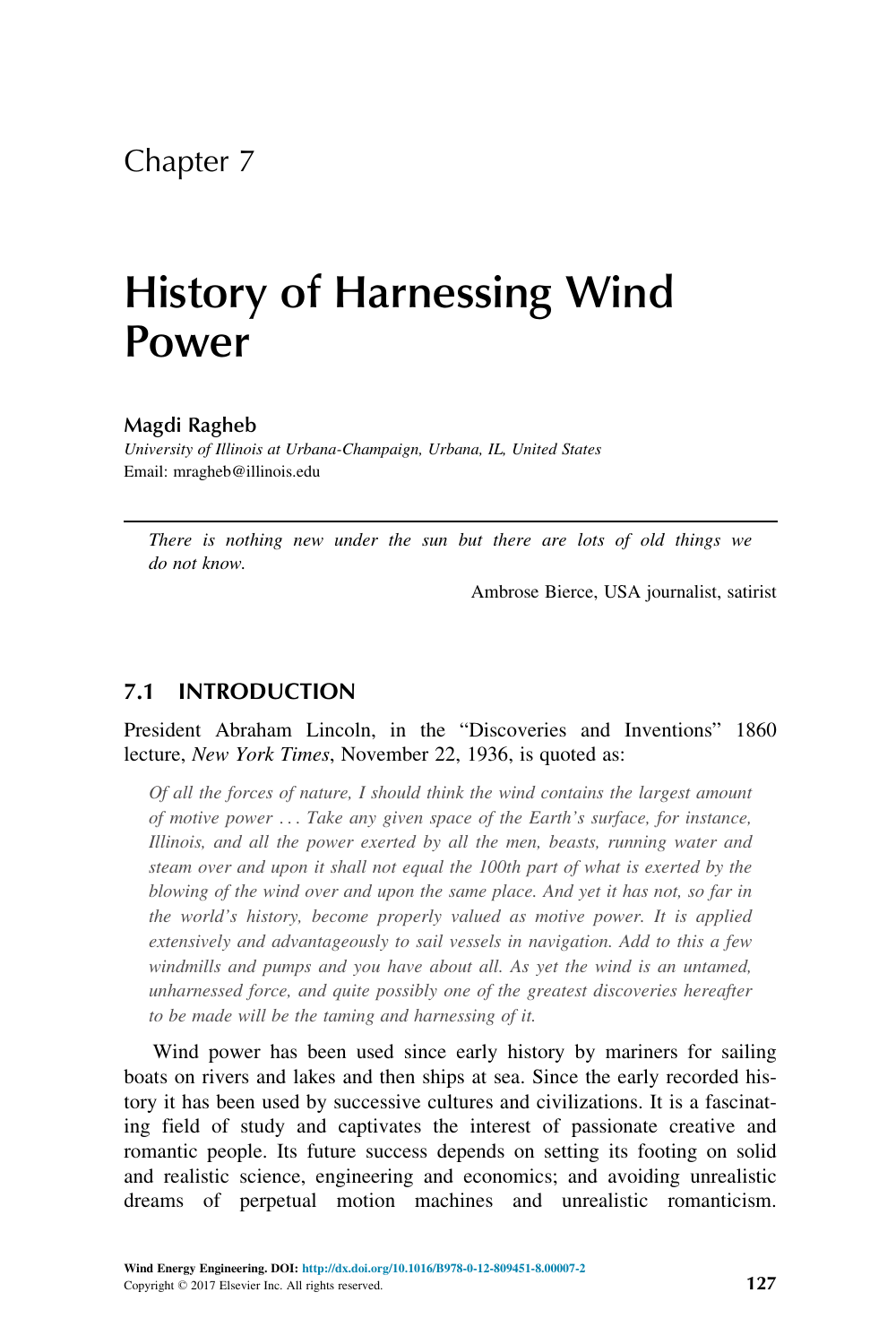# Chapter 7

# History of Harnessing Wind Power

#### Magdi Ragheb

University of Illinois at Urbana-Champaign, Urbana, IL, United States Email: mragheb@illinois.edu

There is nothing new under the sun but there are lots of old things we do not know.

Ambrose Bierce, USA journalist, satirist

# 7.1 INTRODUCTION

#### President Abraham Lincoln, in the "Discoveries and Inventions" 1860 lecture, New York Times, November 22, 1936, is quoted as:

Of all the forces of nature, I should think the wind contains the largest amount of motive power ... Take any given space of the Earth's surface, for instance, Illinois, and all the power exerted by all the men, beasts, running water and steam over and upon it shall not equal the 100th part of what is exerted by the blowing of the wind over and upon the same place. And yet it has not, so far in the world's history, become properly valued as motive power. It is applied extensively and advantageously to sail vessels in navigation. Add to this a few windmills and pumps and you have about all. As yet the wind is an untamed, unharnessed force, and quite possibly one of the greatest discoveries hereafter to be made will be the taming and harnessing of it.

Wind power has been used since early history by mariners for sailing boats on rivers and lakes and then ships at sea. Since the early recorded history it has been used by successive cultures and civilizations. It is a fascinating field of study and captivates the interest of passionate creative and romantic people. Its future success depends on setting its footing on solid and realistic science, engineering and economics; and avoiding unrealistic dreams of perpetual motion machines and unrealistic romanticism.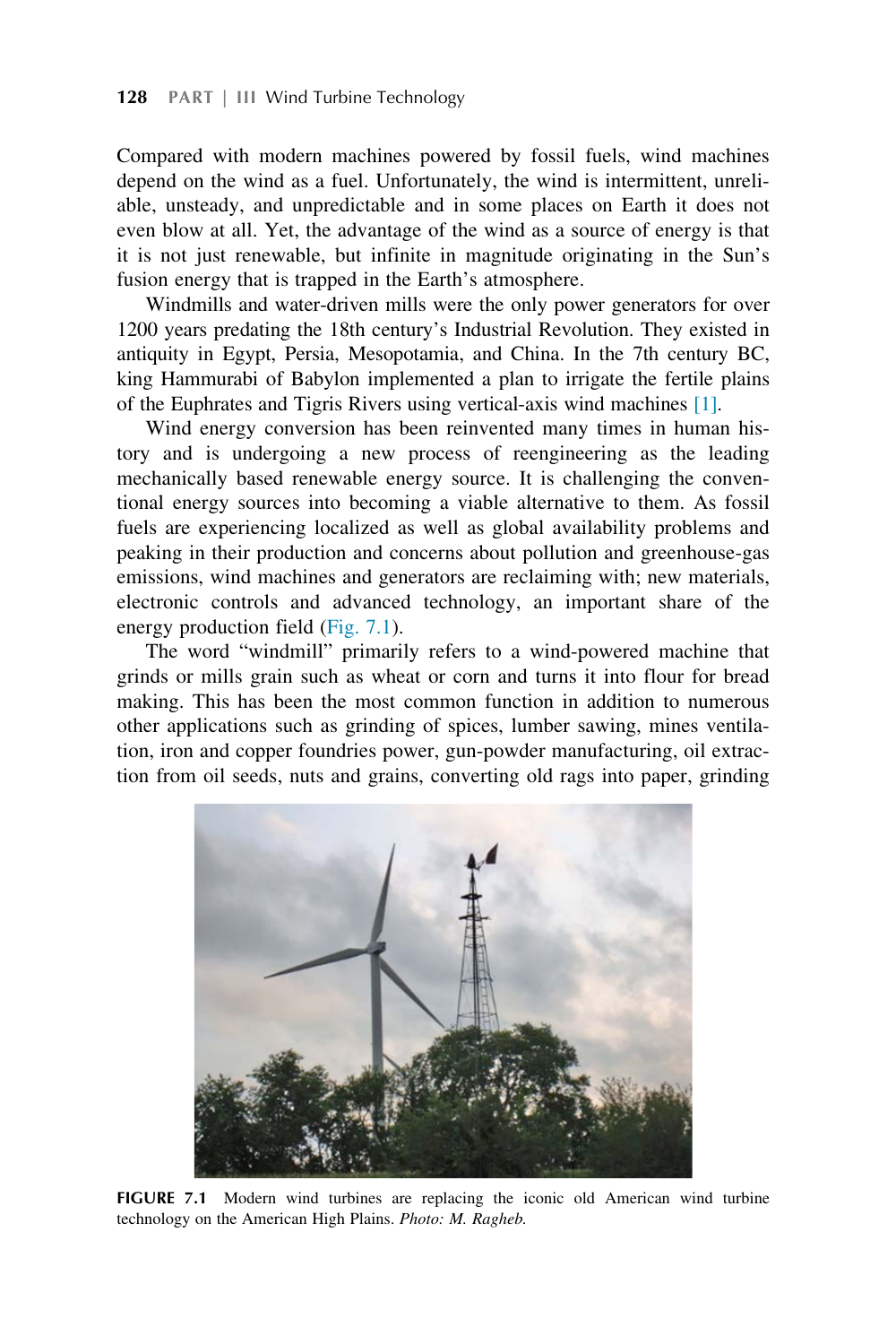Compared with modern machines powered by fossil fuels, wind machines depend on the wind as a fuel. Unfortunately, the wind is intermittent, unreliable, unsteady, and unpredictable and in some places on Earth it does not even blow at all. Yet, the advantage of the wind as a source of energy is that it is not just renewable, but infinite in magnitude originating in the Sun's fusion energy that is trapped in the Earth's atmosphere.

Windmills and water-driven mills were the only power generators for over 1200 years predating the 18th century's Industrial Revolution. They existed in antiquity in Egypt, Persia, Mesopotamia, and China. In the 7th century BC, king Hammurabi of Babylon implemented a plan to irrigate the fertile plains of the Euphrates and Tigris Rivers using vertical-axis wind machines [1].

Wind energy conversion has been reinvented many times in human history and is undergoing a new process of reengineering as the leading mechanically based renewable energy source. It is challenging the conventional energy sources into becoming a viable alternative to them. As fossil fuels are experiencing localized as well as global availability problems and peaking in their production and concerns about pollution and greenhouse-gas emissions, wind machines and generators are reclaiming with; new materials, electronic controls and advanced technology, an important share of the energy production field (Fig. 7.1).

The word "windmill" primarily refers to a wind-powered machine that grinds or mills grain such as wheat or corn and turns it into flour for bread making. This has been the most common function in addition to numerous other applications such as grinding of spices, lumber sawing, mines ventilation, iron and copper foundries power, gun-powder manufacturing, oil extraction from oil seeds, nuts and grains, converting old rags into paper, grinding



FIGURE 7.1 Modern wind turbines are replacing the iconic old American wind turbine technology on the American High Plains. Photo: M. Ragheb.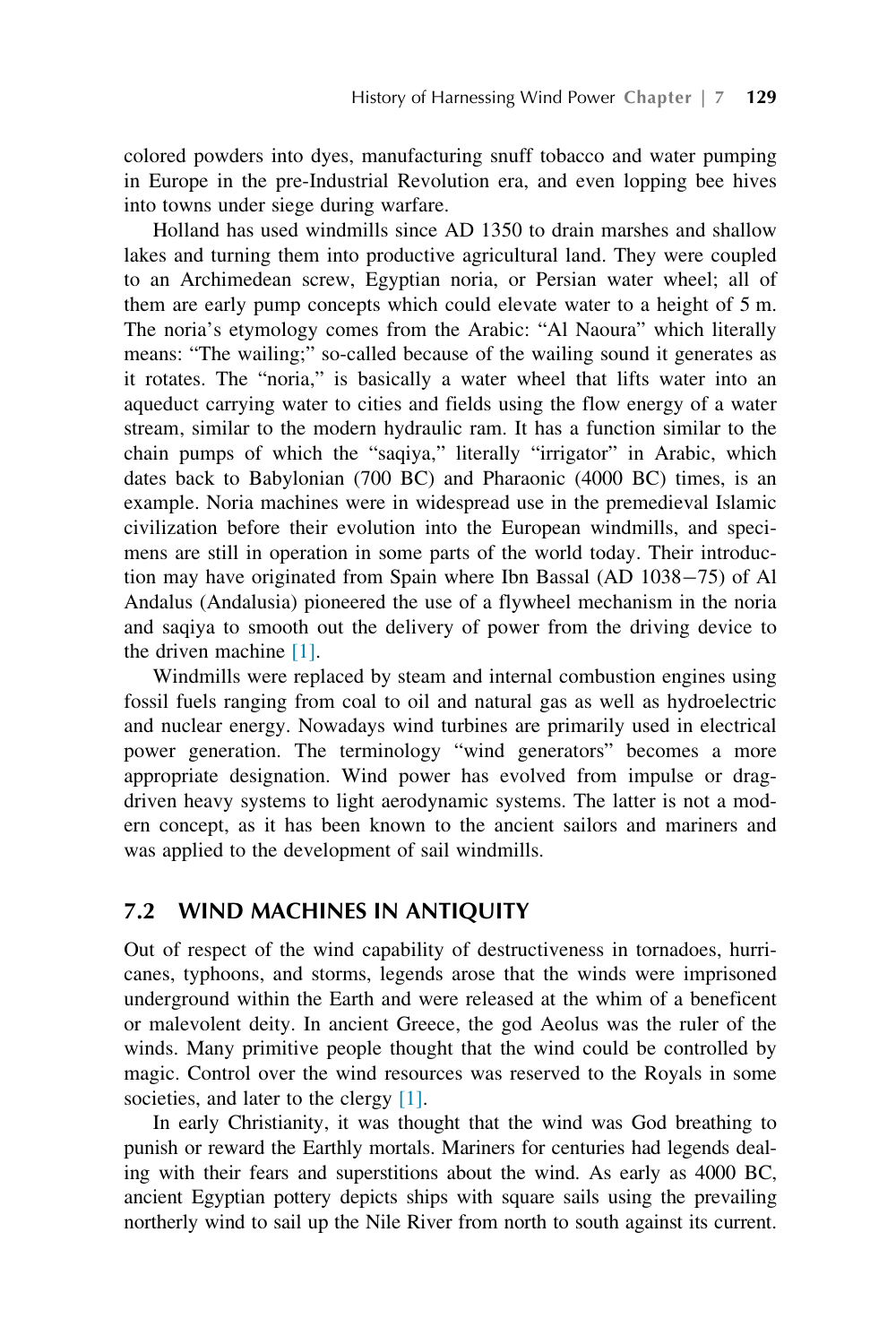colored powders into dyes, manufacturing snuff tobacco and water pumping in Europe in the pre-Industrial Revolution era, and even lopping bee hives into towns under siege during warfare.

Holland has used windmills since AD 1350 to drain marshes and shallow lakes and turning them into productive agricultural land. They were coupled to an Archimedean screw, Egyptian noria, or Persian water wheel; all of them are early pump concepts which could elevate water to a height of 5 m. The noria's etymology comes from the Arabic: "Al Naoura" which literally means: "The wailing;" so-called because of the wailing sound it generates as it rotates. The "noria," is basically a water wheel that lifts water into an aqueduct carrying water to cities and fields using the flow energy of a water stream, similar to the modern hydraulic ram. It has a function similar to the chain pumps of which the "saqiya," literally "irrigator" in Arabic, which dates back to Babylonian (700 BC) and Pharaonic (4000 BC) times, is an example. Noria machines were in widespread use in the premedieval Islamic civilization before their evolution into the European windmills, and specimens are still in operation in some parts of the world today. Their introduction may have originated from Spain where Ibn Bassal (AD 1038-75) of Al Andalus (Andalusia) pioneered the use of a flywheel mechanism in the noria and saqiya to smooth out the delivery of power from the driving device to the driven machine [1].

Windmills were replaced by steam and internal combustion engines using fossil fuels ranging from coal to oil and natural gas as well as hydroelectric and nuclear energy. Nowadays wind turbines are primarily used in electrical power generation. The terminology "wind generators" becomes a more appropriate designation. Wind power has evolved from impulse or dragdriven heavy systems to light aerodynamic systems. The latter is not a modern concept, as it has been known to the ancient sailors and mariners and was applied to the development of sail windmills.

#### 7.2 WIND MACHINES IN ANTIQUITY

Out of respect of the wind capability of destructiveness in tornadoes, hurricanes, typhoons, and storms, legends arose that the winds were imprisoned underground within the Earth and were released at the whim of a beneficent or malevolent deity. In ancient Greece, the god Aeolus was the ruler of the winds. Many primitive people thought that the wind could be controlled by magic. Control over the wind resources was reserved to the Royals in some societies, and later to the clergy [1].

In early Christianity, it was thought that the wind was God breathing to punish or reward the Earthly mortals. Mariners for centuries had legends dealing with their fears and superstitions about the wind. As early as 4000 BC, ancient Egyptian pottery depicts ships with square sails using the prevailing northerly wind to sail up the Nile River from north to south against its current.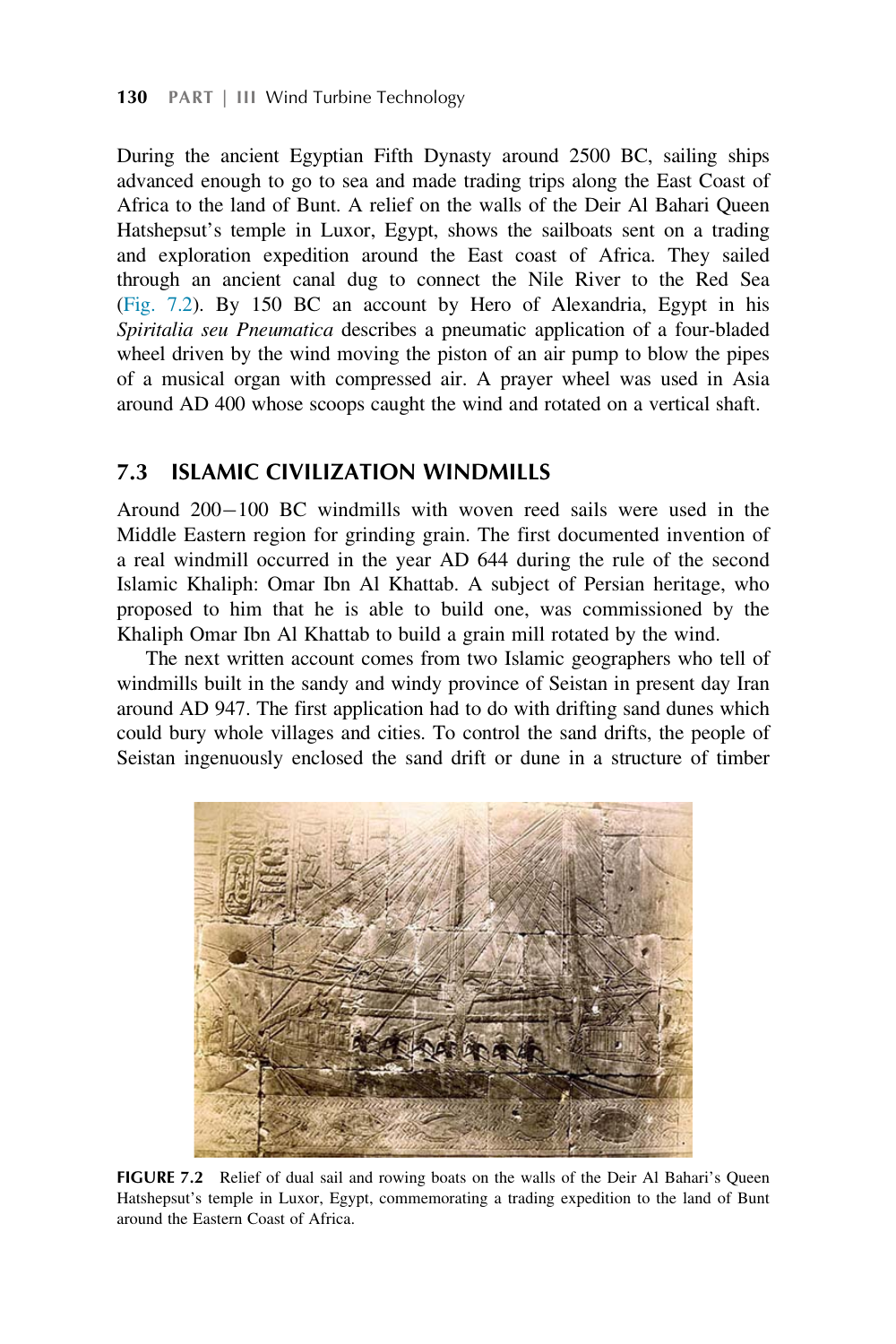During the ancient Egyptian Fifth Dynasty around 2500 BC, sailing ships advanced enough to go to sea and made trading trips along the East Coast of Africa to the land of Bunt. A relief on the walls of the Deir Al Bahari Queen Hatshepsut's temple in Luxor, Egypt, shows the sailboats sent on a trading and exploration expedition around the East coast of Africa. They sailed through an ancient canal dug to connect the Nile River to the Red Sea (Fig. 7.2). By 150 BC an account by Hero of Alexandria, Egypt in his Spiritalia seu Pneumatica describes a pneumatic application of a four-bladed wheel driven by the wind moving the piston of an air pump to blow the pipes of a musical organ with compressed air. A prayer wheel was used in Asia around AD 400 whose scoops caught the wind and rotated on a vertical shaft.

# 7.3 ISLAMIC CIVILIZATION WINDMILLS

Around  $200-100$  BC windmills with woven reed sails were used in the Middle Eastern region for grinding grain. The first documented invention of a real windmill occurred in the year AD 644 during the rule of the second Islamic Khaliph: Omar Ibn Al Khattab. A subject of Persian heritage, who proposed to him that he is able to build one, was commissioned by the Khaliph Omar Ibn Al Khattab to build a grain mill rotated by the wind.

The next written account comes from two Islamic geographers who tell of windmills built in the sandy and windy province of Seistan in present day Iran around AD 947. The first application had to do with drifting sand dunes which could bury whole villages and cities. To control the sand drifts, the people of Seistan ingenuously enclosed the sand drift or dune in a structure of timber



FIGURE 7.2 Relief of dual sail and rowing boats on the walls of the Deir Al Bahari's Queen Hatshepsut's temple in Luxor, Egypt, commemorating a trading expedition to the land of Bunt around the Eastern Coast of Africa.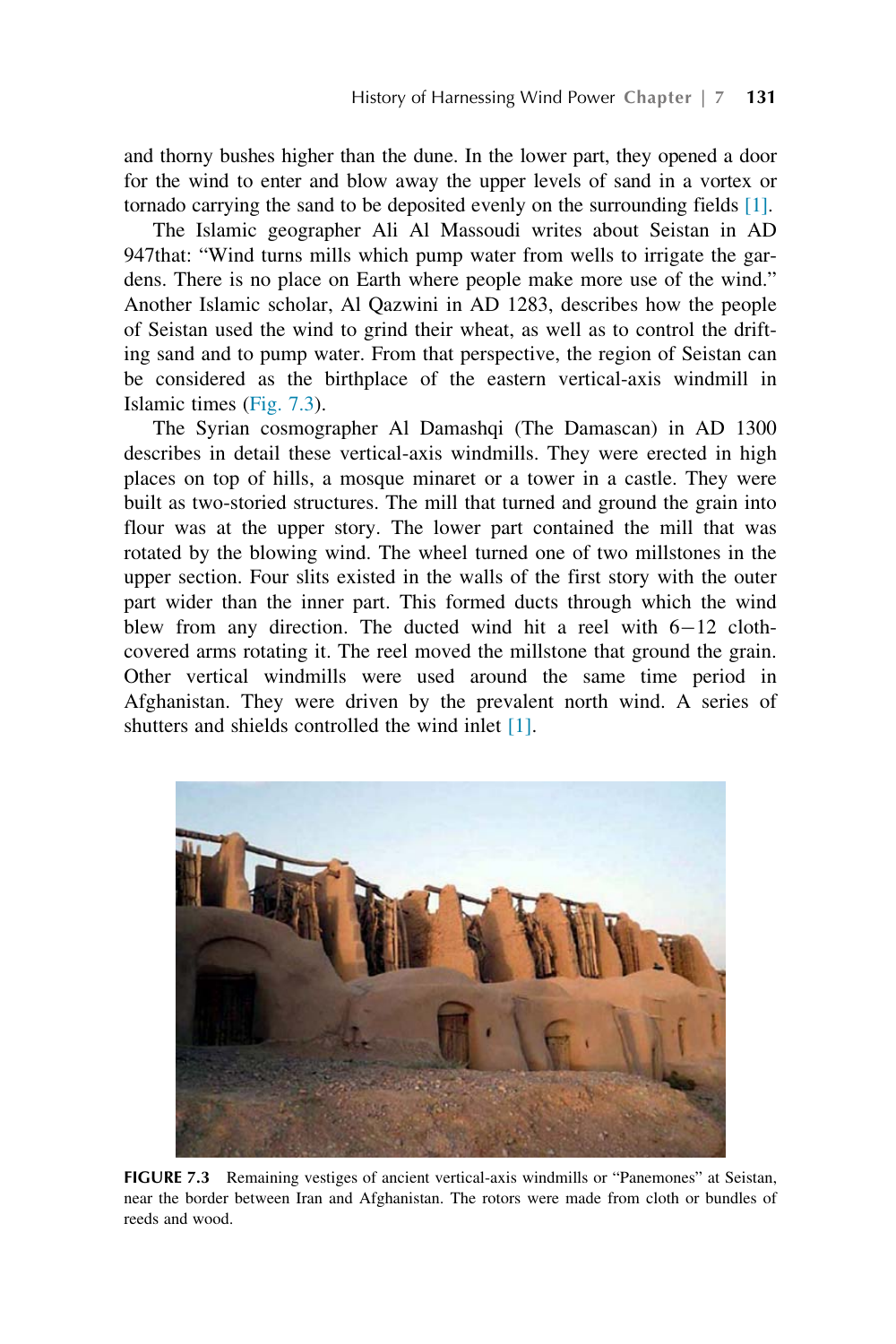and thorny bushes higher than the dune. In the lower part, they opened a door for the wind to enter and blow away the upper levels of sand in a vortex or tornado carrying the sand to be deposited evenly on the surrounding fields [1].

The Islamic geographer Ali Al Massoudi writes about Seistan in AD 947that: "Wind turns mills which pump water from wells to irrigate the gardens. There is no place on Earth where people make more use of the wind." Another Islamic scholar, Al Qazwini in AD 1283, describes how the people of Seistan used the wind to grind their wheat, as well as to control the drifting sand and to pump water. From that perspective, the region of Seistan can be considered as the birthplace of the eastern vertical-axis windmill in Islamic times (Fig. 7.3).

The Syrian cosmographer Al Damashqi (The Damascan) in AD 1300 describes in detail these vertical-axis windmills. They were erected in high places on top of hills, a mosque minaret or a tower in a castle. They were built as two-storied structures. The mill that turned and ground the grain into flour was at the upper story. The lower part contained the mill that was rotated by the blowing wind. The wheel turned one of two millstones in the upper section. Four slits existed in the walls of the first story with the outer part wider than the inner part. This formed ducts through which the wind blew from any direction. The ducted wind hit a reel with  $6-12$  clothcovered arms rotating it. The reel moved the millstone that ground the grain. Other vertical windmills were used around the same time period in Afghanistan. They were driven by the prevalent north wind. A series of shutters and shields controlled the wind inlet [1].



FIGURE 7.3 Remaining vestiges of ancient vertical-axis windmills or "Panemones" at Seistan, near the border between Iran and Afghanistan. The rotors were made from cloth or bundles of reeds and wood.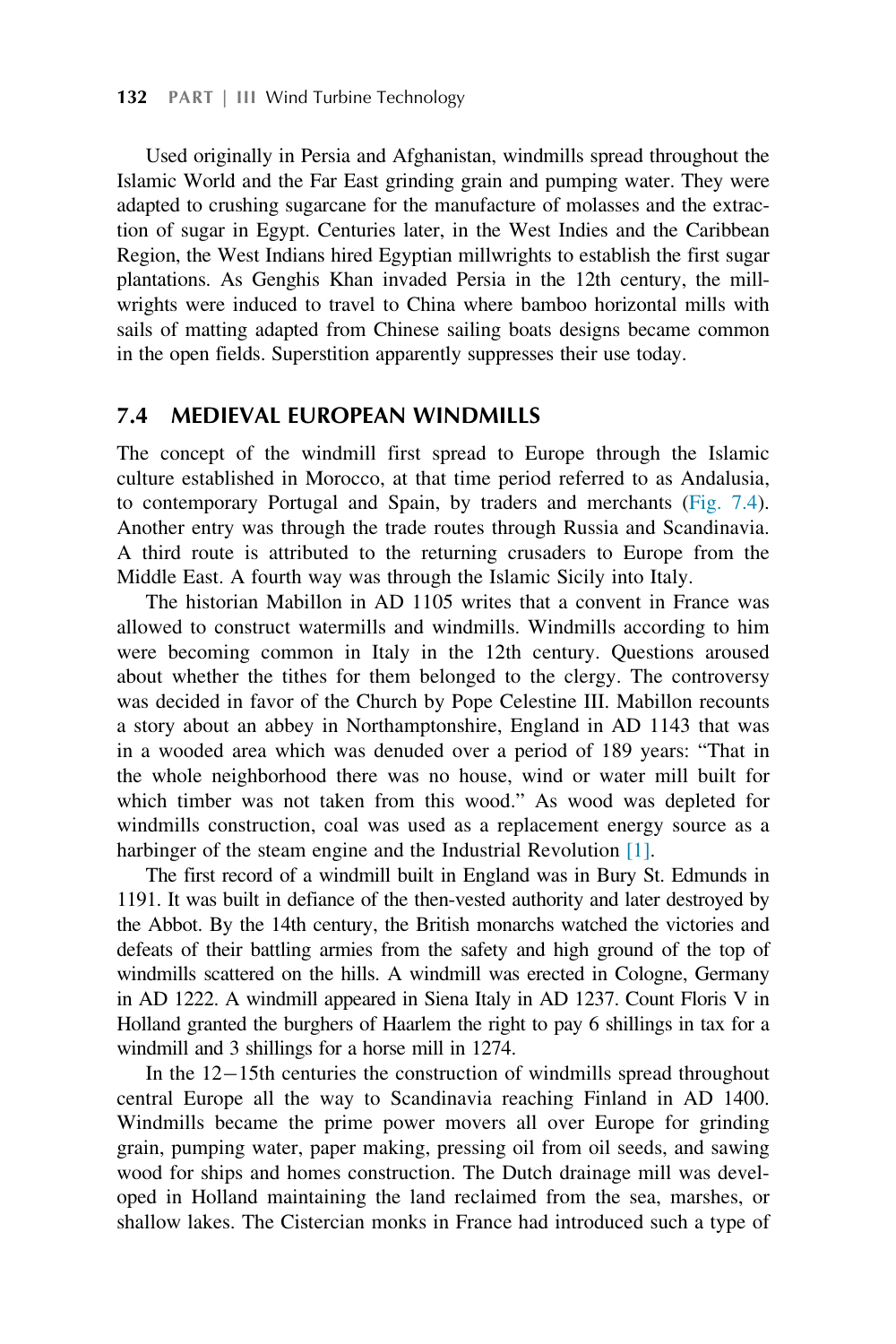Used originally in Persia and Afghanistan, windmills spread throughout the Islamic World and the Far East grinding grain and pumping water. They were adapted to crushing sugarcane for the manufacture of molasses and the extraction of sugar in Egypt. Centuries later, in the West Indies and the Caribbean Region, the West Indians hired Egyptian millwrights to establish the first sugar plantations. As Genghis Khan invaded Persia in the 12th century, the millwrights were induced to travel to China where bamboo horizontal mills with sails of matting adapted from Chinese sailing boats designs became common in the open fields. Superstition apparently suppresses their use today.

#### 7.4 MEDIEVAL EUROPEAN WINDMILLS

The concept of the windmill first spread to Europe through the Islamic culture established in Morocco, at that time period referred to as Andalusia, to contemporary Portugal and Spain, by traders and merchants (Fig. 7.4). Another entry was through the trade routes through Russia and Scandinavia. A third route is attributed to the returning crusaders to Europe from the Middle East. A fourth way was through the Islamic Sicily into Italy.

The historian Mabillon in AD 1105 writes that a convent in France was allowed to construct watermills and windmills. Windmills according to him were becoming common in Italy in the 12th century. Questions aroused about whether the tithes for them belonged to the clergy. The controversy was decided in favor of the Church by Pope Celestine III. Mabillon recounts a story about an abbey in Northamptonshire, England in AD 1143 that was in a wooded area which was denuded over a period of 189 years: "That in the whole neighborhood there was no house, wind or water mill built for which timber was not taken from this wood." As wood was depleted for windmills construction, coal was used as a replacement energy source as a harbinger of the steam engine and the Industrial Revolution [1].

The first record of a windmill built in England was in Bury St. Edmunds in 1191. It was built in defiance of the then-vested authority and later destroyed by the Abbot. By the 14th century, the British monarchs watched the victories and defeats of their battling armies from the safety and high ground of the top of windmills scattered on the hills. A windmill was erected in Cologne, Germany in AD 1222. A windmill appeared in Siena Italy in AD 1237. Count Floris V in Holland granted the burghers of Haarlem the right to pay 6 shillings in tax for a windmill and 3 shillings for a horse mill in 1274.

In the  $12-15$ th centuries the construction of windmills spread throughout central Europe all the way to Scandinavia reaching Finland in AD 1400. Windmills became the prime power movers all over Europe for grinding grain, pumping water, paper making, pressing oil from oil seeds, and sawing wood for ships and homes construction. The Dutch drainage mill was developed in Holland maintaining the land reclaimed from the sea, marshes, or shallow lakes. The Cistercian monks in France had introduced such a type of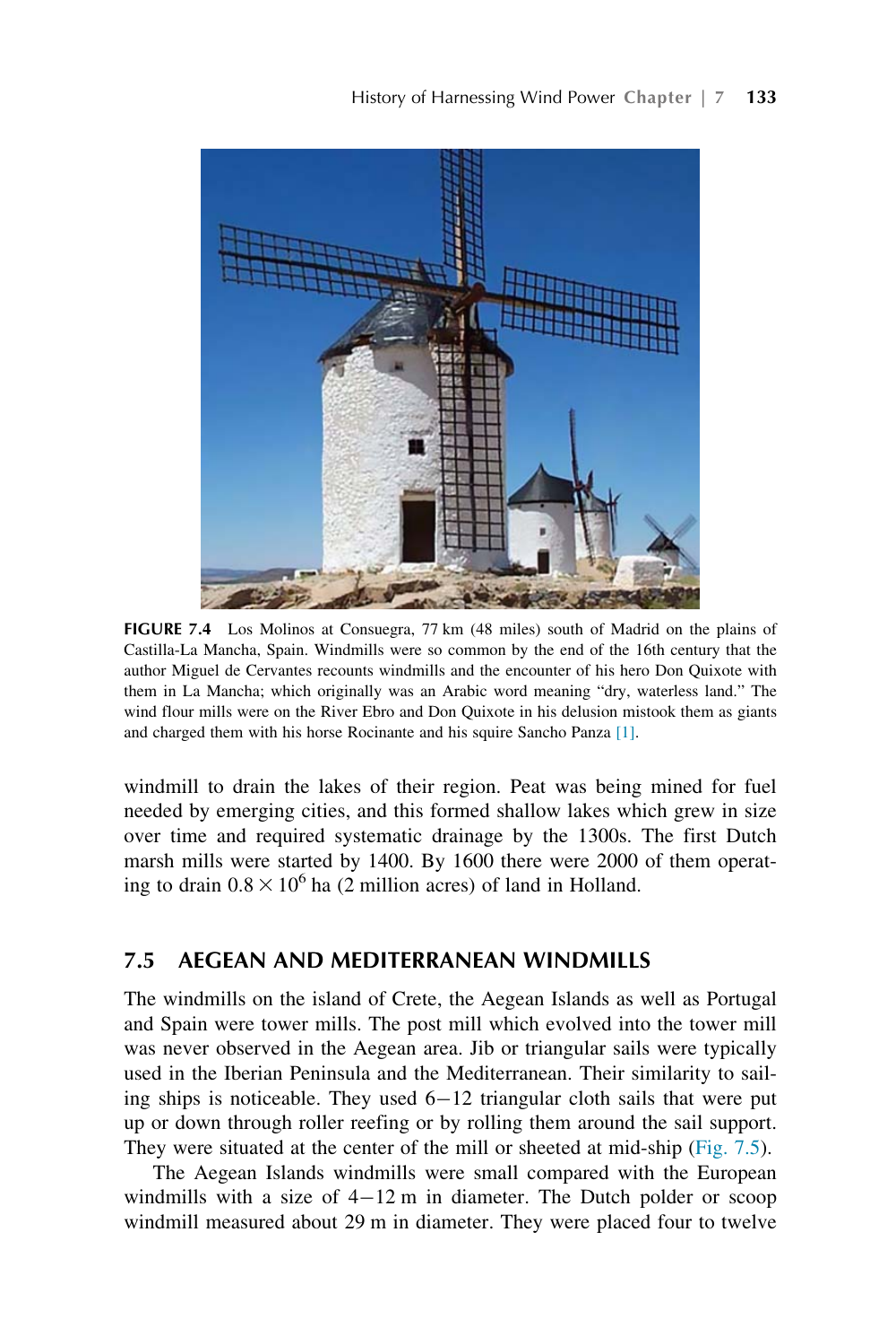

FIGURE 7.4 Los Molinos at Consuegra, 77 km (48 miles) south of Madrid on the plains of Castilla-La Mancha, Spain. Windmills were so common by the end of the 16th century that the author Miguel de Cervantes recounts windmills and the encounter of his hero Don Quixote with them in La Mancha; which originally was an Arabic word meaning "dry, waterless land." The wind flour mills were on the River Ebro and Don Quixote in his delusion mistook them as giants and charged them with his horse Rocinante and his squire Sancho Panza [1].

windmill to drain the lakes of their region. Peat was being mined for fuel needed by emerging cities, and this formed shallow lakes which grew in size over time and required systematic drainage by the 1300s. The first Dutch marsh mills were started by 1400. By 1600 there were 2000 of them operating to drain  $0.8 \times 10^6$  ha (2 million acres) of land in Holland.

# 7.5 AEGEAN AND MEDITERRANEAN WINDMILLS

The windmills on the island of Crete, the Aegean Islands as well as Portugal and Spain were tower mills. The post mill which evolved into the tower mill was never observed in the Aegean area. Jib or triangular sails were typically used in the Iberian Peninsula and the Mediterranean. Their similarity to sailing ships is noticeable. They used  $6-12$  triangular cloth sails that were put up or down through roller reefing or by rolling them around the sail support. They were situated at the center of the mill or sheeted at mid-ship (Fig. 7.5).

The Aegean Islands windmills were small compared with the European windmills with a size of  $4-12$  m in diameter. The Dutch polder or scoop windmill measured about 29 m in diameter. They were placed four to twelve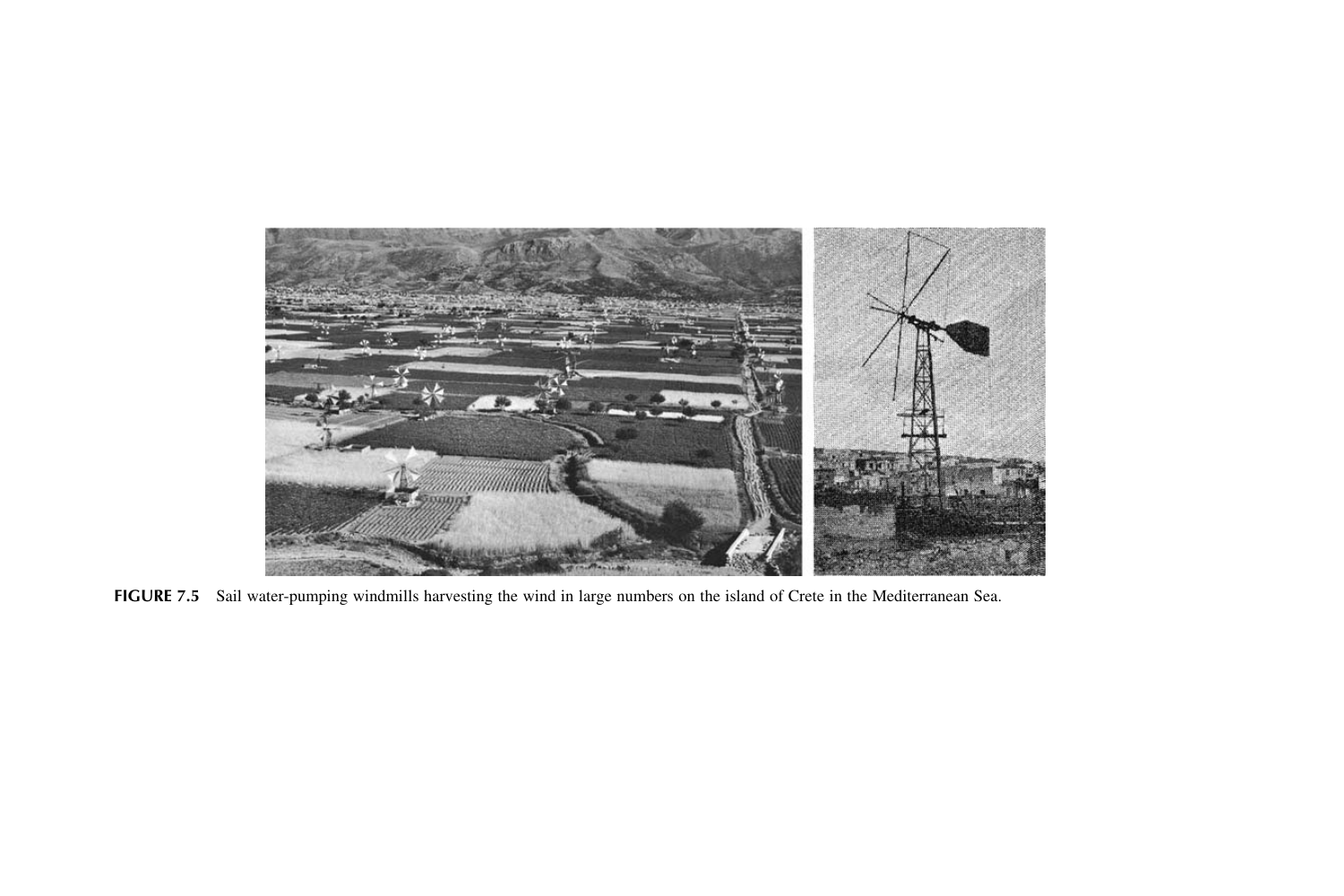

FIGURE 7.5 Sail water-pumping windmills harvesting the wind in large numbers on the island of Crete in the Mediterranean Sea.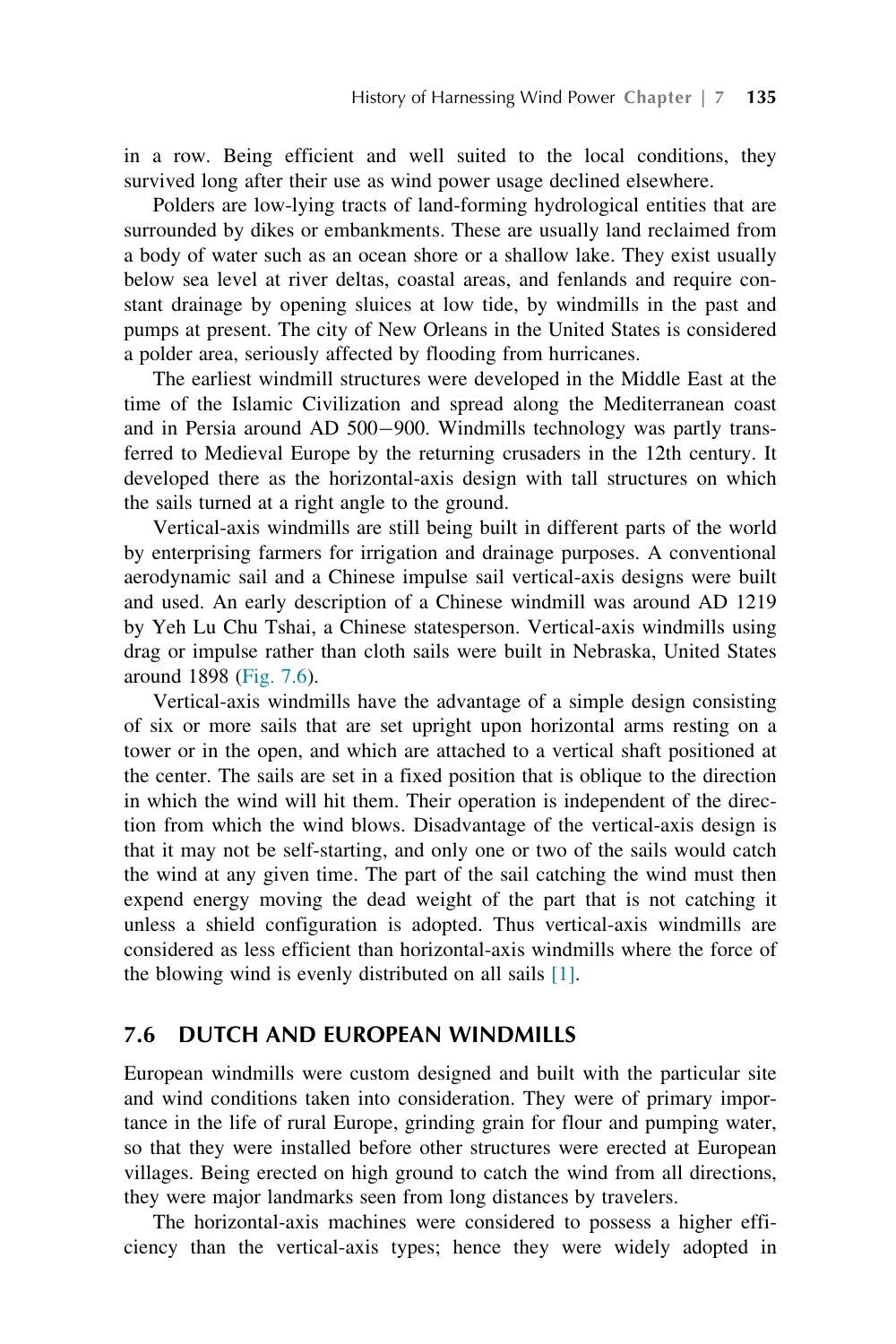in a row. Being efficient and well suited to the local conditions, they survived long after their use as wind power usage declined elsewhere.

Polders are low-lying tracts of land-forming hydrological entities that are surrounded by dikes or embankments. These are usually land reclaimed from a body of water such as an ocean shore or a shallow lake. They exist usually below sea level at river deltas, coastal areas, and fenlands and require constant drainage by opening sluices at low tide, by windmills in the past and pumps at present. The city of New Orleans in the United States is considered a polder area, seriously affected by flooding from hurricanes.

The earliest windmill structures were developed in the Middle East at the time of the Islamic Civilization and spread along the Mediterranean coast and in Persia around AD 500-900. Windmills technology was partly transferred to Medieval Europe by the returning crusaders in the 12th century. It developed there as the horizontal-axis design with tall structures on which the sails turned at a right angle to the ground.

Vertical-axis windmills are still being built in different parts of the world by enterprising farmers for irrigation and drainage purposes. A conventional aerodynamic sail and a Chinese impulse sail vertical-axis designs were built and used. An early description of a Chinese windmill was around AD 1219 by Yeh Lu Chu Tshai, a Chinese statesperson. Vertical-axis windmills using drag or impulse rather than cloth sails were built in Nebraska, United States around 1898 (Fig. 7.6).

Vertical-axis windmills have the advantage of a simple design consisting of six or more sails that are set upright upon horizontal arms resting on a tower or in the open, and which are attached to a vertical shaft positioned at the center. The sails are set in a fixed position that is oblique to the direction in which the wind will hit them. Their operation is independent of the direction from which the wind blows. Disadvantage of the vertical-axis design is that it may not be self-starting, and only one or two of the sails would catch the wind at any given time. The part of the sail catching the wind must then expend energy moving the dead weight of the part that is not catching it unless a shield configuration is adopted. Thus vertical-axis windmills are considered as less efficient than horizontal-axis windmills where the force of the blowing wind is evenly distributed on all sails [1].

#### 7.6 DUTCH AND EUROPEAN WINDMILLS

European windmills were custom designed and built with the particular site and wind conditions taken into consideration. They were of primary importance in the life of rural Europe, grinding grain for flour and pumping water, so that they were installed before other structures were erected at European villages. Being erected on high ground to catch the wind from all directions, they were major landmarks seen from long distances by travelers.

The horizontal-axis machines were considered to possess a higher efficiency than the vertical-axis types; hence they were widely adopted in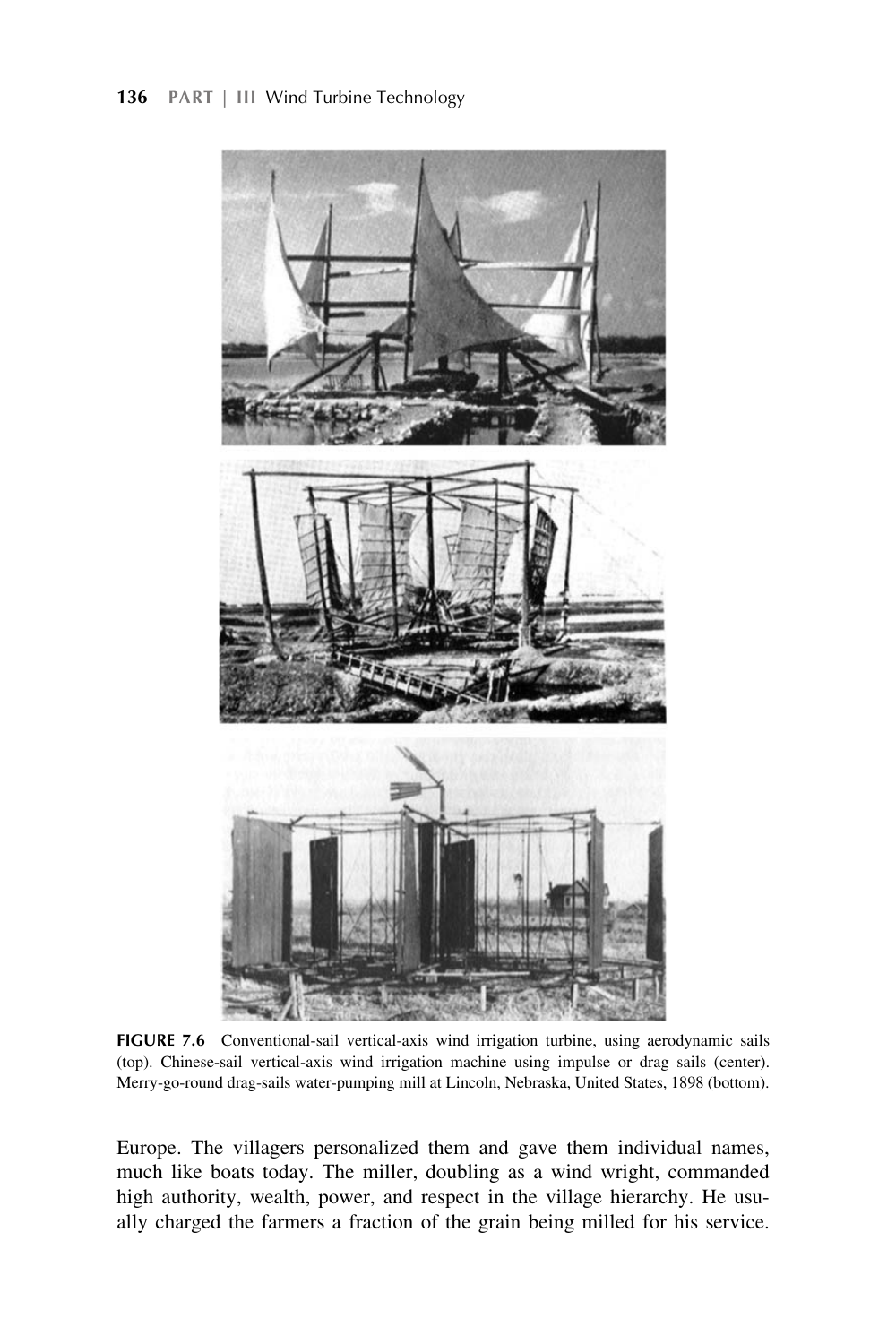

FIGURE 7.6 Conventional-sail vertical-axis wind irrigation turbine, using aerodynamic sails (top). Chinese-sail vertical-axis wind irrigation machine using impulse or drag sails (center). Merry-go-round drag-sails water-pumping mill at Lincoln, Nebraska, United States, 1898 (bottom).

Europe. The villagers personalized them and gave them individual names, much like boats today. The miller, doubling as a wind wright, commanded high authority, wealth, power, and respect in the village hierarchy. He usually charged the farmers a fraction of the grain being milled for his service.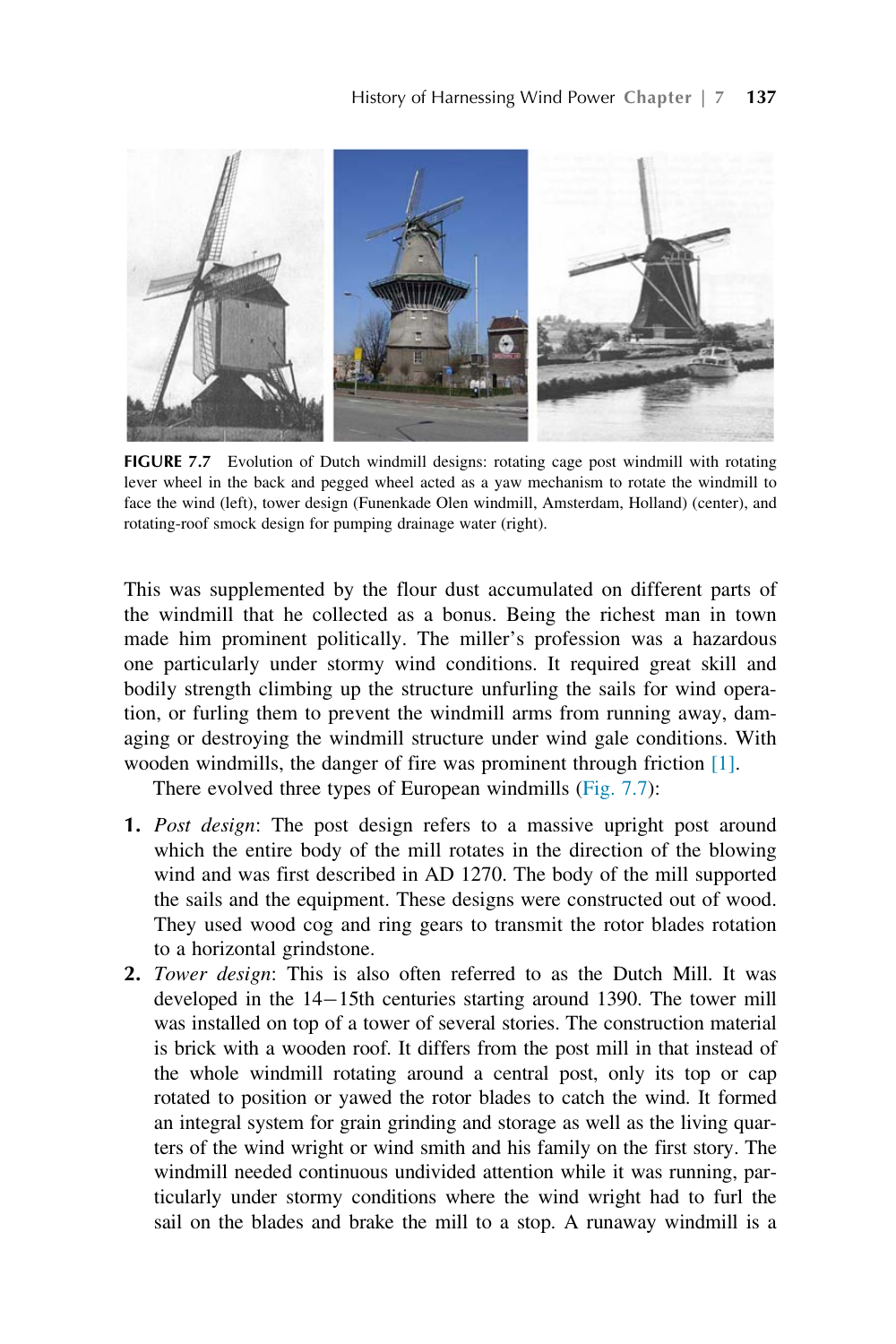

FIGURE 7.7 Evolution of Dutch windmill designs: rotating cage post windmill with rotating lever wheel in the back and pegged wheel acted as a yaw mechanism to rotate the windmill to face the wind (left), tower design (Funenkade Olen windmill, Amsterdam, Holland) (center), and rotating-roof smock design for pumping drainage water (right).

This was supplemented by the flour dust accumulated on different parts of the windmill that he collected as a bonus. Being the richest man in town made him prominent politically. The miller's profession was a hazardous one particularly under stormy wind conditions. It required great skill and bodily strength climbing up the structure unfurling the sails for wind operation, or furling them to prevent the windmill arms from running away, damaging or destroying the windmill structure under wind gale conditions. With wooden windmills, the danger of fire was prominent through friction [1].

There evolved three types of European windmills (Fig. 7.7):

- 1. Post design: The post design refers to a massive upright post around which the entire body of the mill rotates in the direction of the blowing wind and was first described in AD 1270. The body of the mill supported the sails and the equipment. These designs were constructed out of wood. They used wood cog and ring gears to transmit the rotor blades rotation to a horizontal grindstone.
- 2. Tower design: This is also often referred to as the Dutch Mill. It was developed in the  $14-15$ th centuries starting around 1390. The tower mill was installed on top of a tower of several stories. The construction material is brick with a wooden roof. It differs from the post mill in that instead of the whole windmill rotating around a central post, only its top or cap rotated to position or yawed the rotor blades to catch the wind. It formed an integral system for grain grinding and storage as well as the living quarters of the wind wright or wind smith and his family on the first story. The windmill needed continuous undivided attention while it was running, particularly under stormy conditions where the wind wright had to furl the sail on the blades and brake the mill to a stop. A runaway windmill is a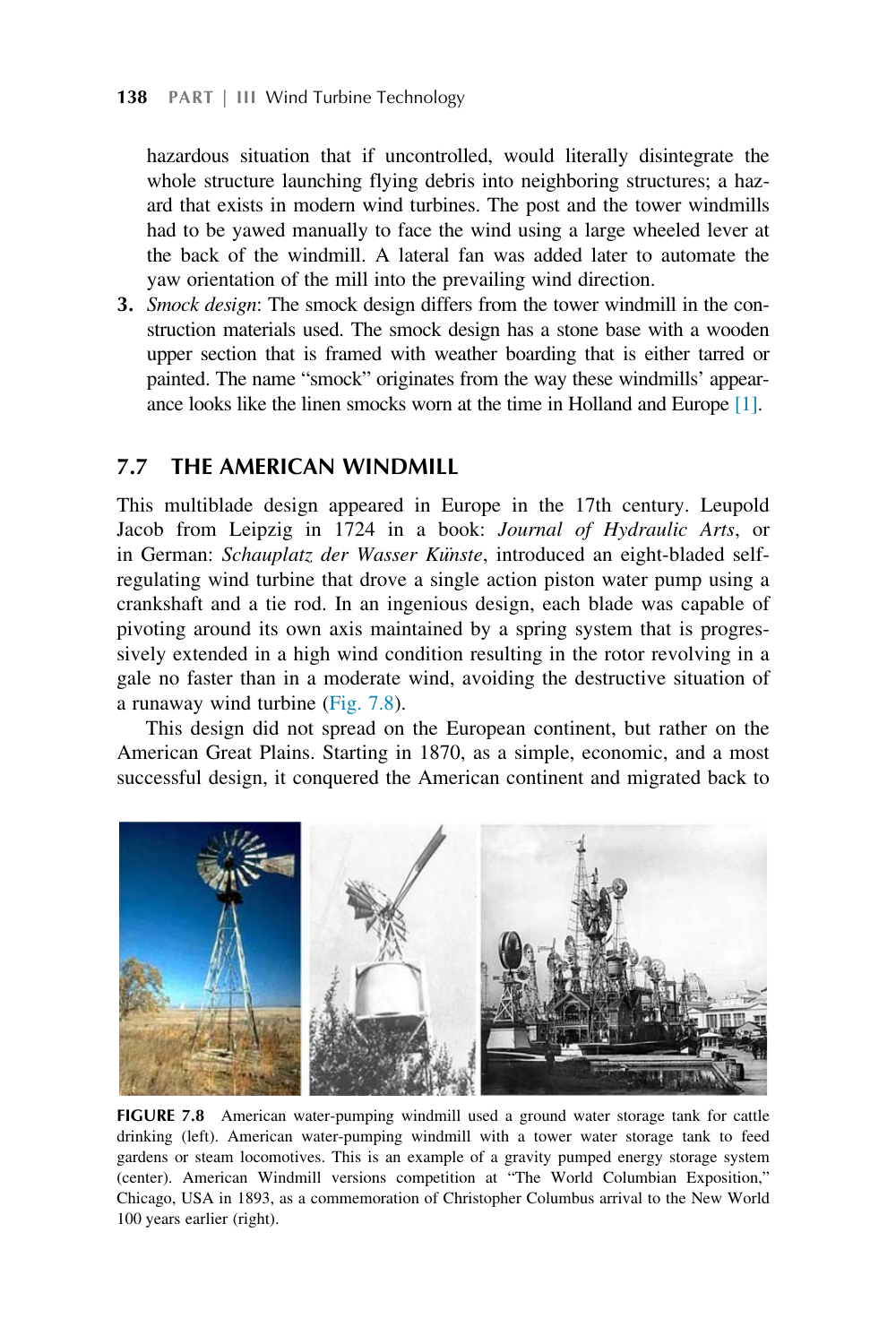hazardous situation that if uncontrolled, would literally disintegrate the whole structure launching flying debris into neighboring structures; a hazard that exists in modern wind turbines. The post and the tower windmills had to be yawed manually to face the wind using a large wheeled lever at the back of the windmill. A lateral fan was added later to automate the yaw orientation of the mill into the prevailing wind direction.

3. Smock design: The smock design differs from the tower windmill in the construction materials used. The smock design has a stone base with a wooden upper section that is framed with weather boarding that is either tarred or painted. The name "smock" originates from the way these windmills' appearance looks like the linen smocks worn at the time in Holland and Europe [1].

#### 7.7 THE AMERICAN WINDMILL

This multiblade design appeared in Europe in the 17th century. Leupold Jacob from Leipzig in 1724 in a book: Journal of Hydraulic Arts, or in German: Schauplatz der Wasser Künste, introduced an eight-bladed selfregulating wind turbine that drove a single action piston water pump using a crankshaft and a tie rod. In an ingenious design, each blade was capable of pivoting around its own axis maintained by a spring system that is progressively extended in a high wind condition resulting in the rotor revolving in a gale no faster than in a moderate wind, avoiding the destructive situation of a runaway wind turbine (Fig. 7.8).

This design did not spread on the European continent, but rather on the American Great Plains. Starting in 1870, as a simple, economic, and a most successful design, it conquered the American continent and migrated back to



FIGURE 7.8 American water-pumping windmill used a ground water storage tank for cattle drinking (left). American water-pumping windmill with a tower water storage tank to feed gardens or steam locomotives. This is an example of a gravity pumped energy storage system (center). American Windmill versions competition at "The World Columbian Exposition," Chicago, USA in 1893, as a commemoration of Christopher Columbus arrival to the New World 100 years earlier (right).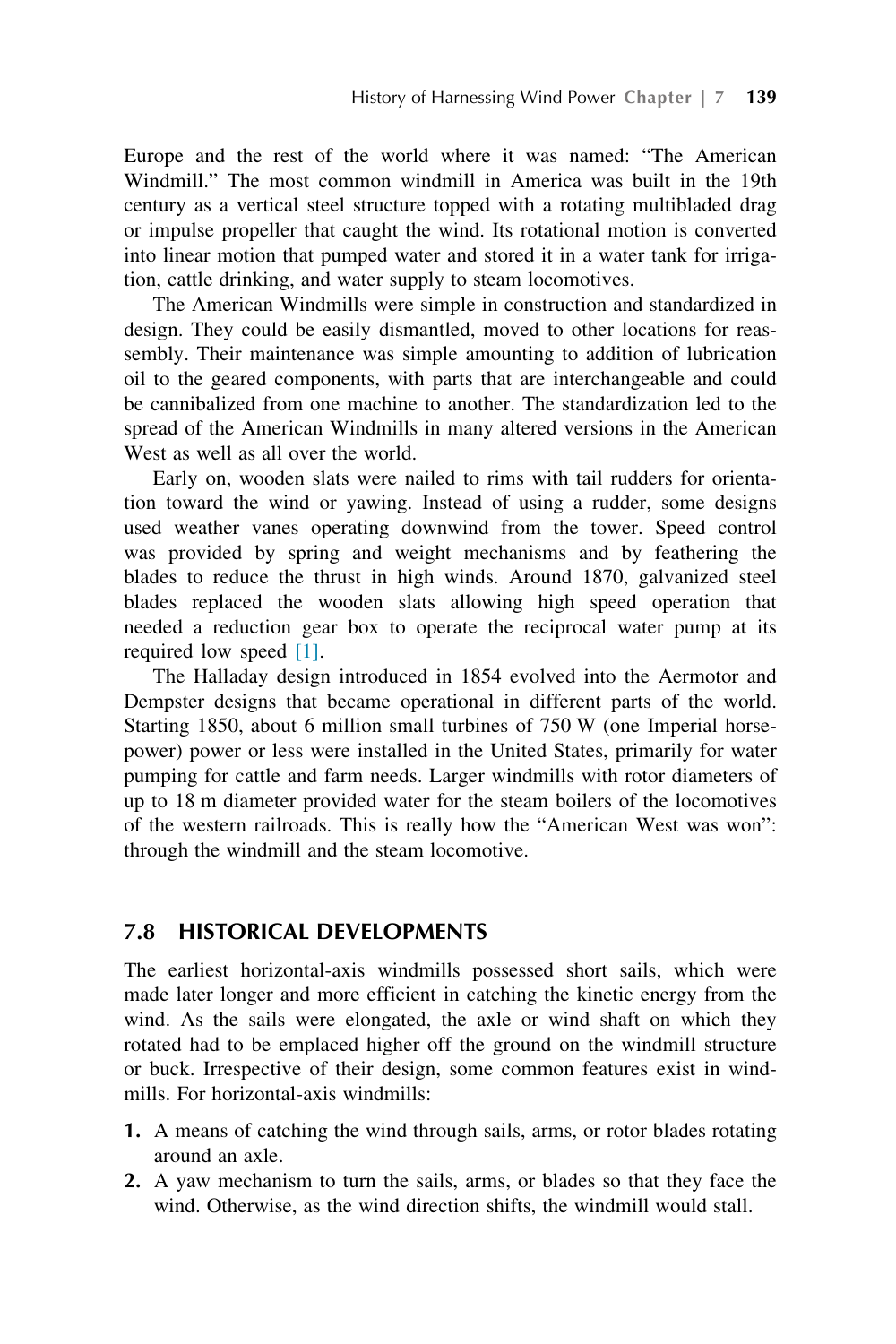Europe and the rest of the world where it was named: "The American Windmill." The most common windmill in America was built in the 19th century as a vertical steel structure topped with a rotating multibladed drag or impulse propeller that caught the wind. Its rotational motion is converted into linear motion that pumped water and stored it in a water tank for irrigation, cattle drinking, and water supply to steam locomotives.

The American Windmills were simple in construction and standardized in design. They could be easily dismantled, moved to other locations for reassembly. Their maintenance was simple amounting to addition of lubrication oil to the geared components, with parts that are interchangeable and could be cannibalized from one machine to another. The standardization led to the spread of the American Windmills in many altered versions in the American West as well as all over the world.

Early on, wooden slats were nailed to rims with tail rudders for orientation toward the wind or yawing. Instead of using a rudder, some designs used weather vanes operating downwind from the tower. Speed control was provided by spring and weight mechanisms and by feathering the blades to reduce the thrust in high winds. Around 1870, galvanized steel blades replaced the wooden slats allowing high speed operation that needed a reduction gear box to operate the reciprocal water pump at its required low speed [1].

The Halladay design introduced in 1854 evolved into the Aermotor and Dempster designs that became operational in different parts of the world. Starting 1850, about 6 million small turbines of 750 W (one Imperial horsepower) power or less were installed in the United States, primarily for water pumping for cattle and farm needs. Larger windmills with rotor diameters of up to 18 m diameter provided water for the steam boilers of the locomotives of the western railroads. This is really how the "American West was won": through the windmill and the steam locomotive.

# 7.8 HISTORICAL DEVELOPMENTS

The earliest horizontal-axis windmills possessed short sails, which were made later longer and more efficient in catching the kinetic energy from the wind. As the sails were elongated, the axle or wind shaft on which they rotated had to be emplaced higher off the ground on the windmill structure or buck. Irrespective of their design, some common features exist in windmills. For horizontal-axis windmills:

- 1. A means of catching the wind through sails, arms, or rotor blades rotating around an axle.
- 2. A yaw mechanism to turn the sails, arms, or blades so that they face the wind. Otherwise, as the wind direction shifts, the windmill would stall.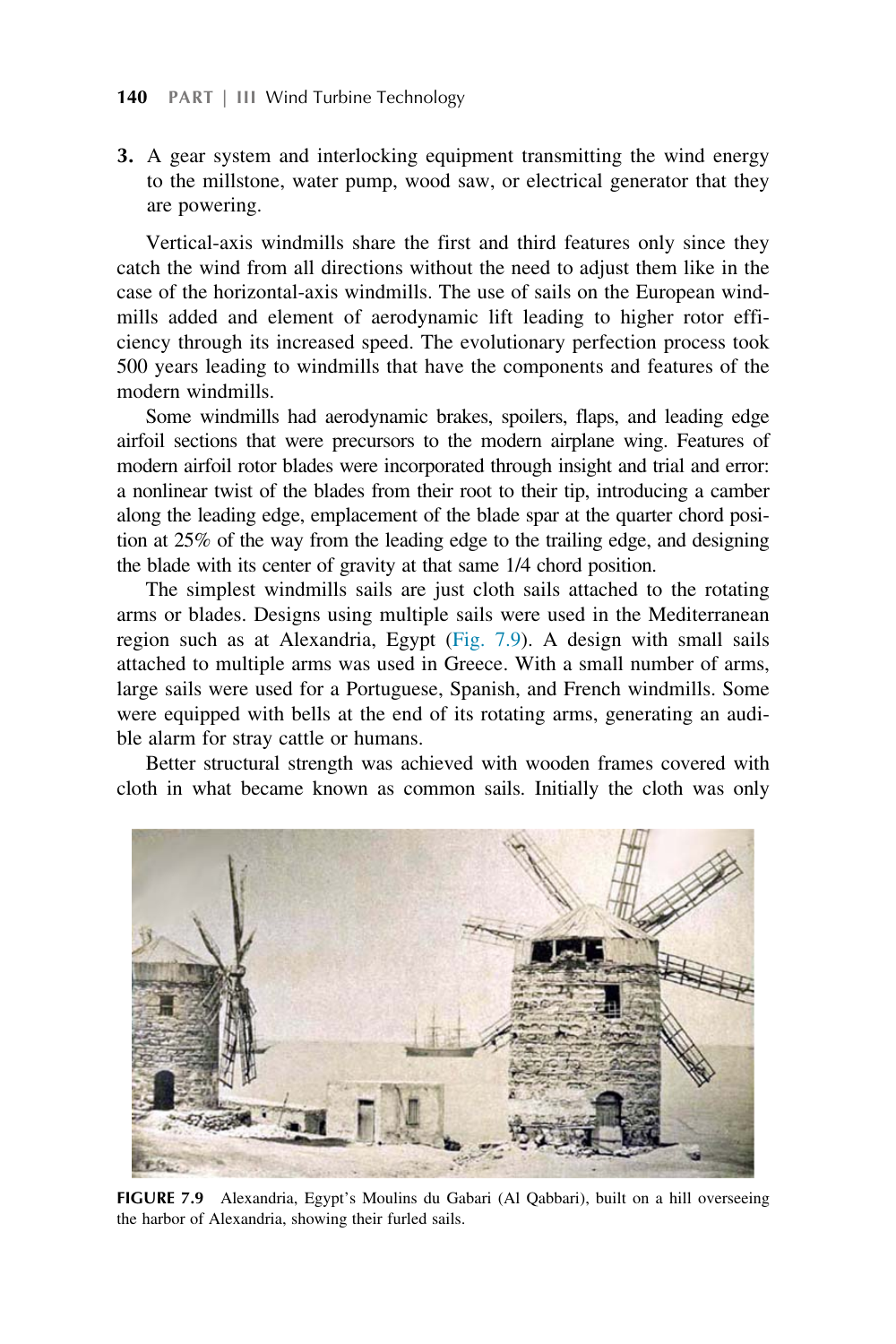3. A gear system and interlocking equipment transmitting the wind energy to the millstone, water pump, wood saw, or electrical generator that they are powering.

Vertical-axis windmills share the first and third features only since they catch the wind from all directions without the need to adjust them like in the case of the horizontal-axis windmills. The use of sails on the European windmills added and element of aerodynamic lift leading to higher rotor efficiency through its increased speed. The evolutionary perfection process took 500 years leading to windmills that have the components and features of the modern windmills.

Some windmills had aerodynamic brakes, spoilers, flaps, and leading edge airfoil sections that were precursors to the modern airplane wing. Features of modern airfoil rotor blades were incorporated through insight and trial and error: a nonlinear twist of the blades from their root to their tip, introducing a camber along the leading edge, emplacement of the blade spar at the quarter chord position at 25% of the way from the leading edge to the trailing edge, and designing the blade with its center of gravity at that same 1/4 chord position.

The simplest windmills sails are just cloth sails attached to the rotating arms or blades. Designs using multiple sails were used in the Mediterranean region such as at Alexandria, Egypt (Fig. 7.9). A design with small sails attached to multiple arms was used in Greece. With a small number of arms, large sails were used for a Portuguese, Spanish, and French windmills. Some were equipped with bells at the end of its rotating arms, generating an audible alarm for stray cattle or humans.

Better structural strength was achieved with wooden frames covered with cloth in what became known as common sails. Initially the cloth was only



FIGURE 7.9 Alexandria, Egypt's Moulins du Gabari (Al Qabbari), built on a hill overseeing the harbor of Alexandria, showing their furled sails.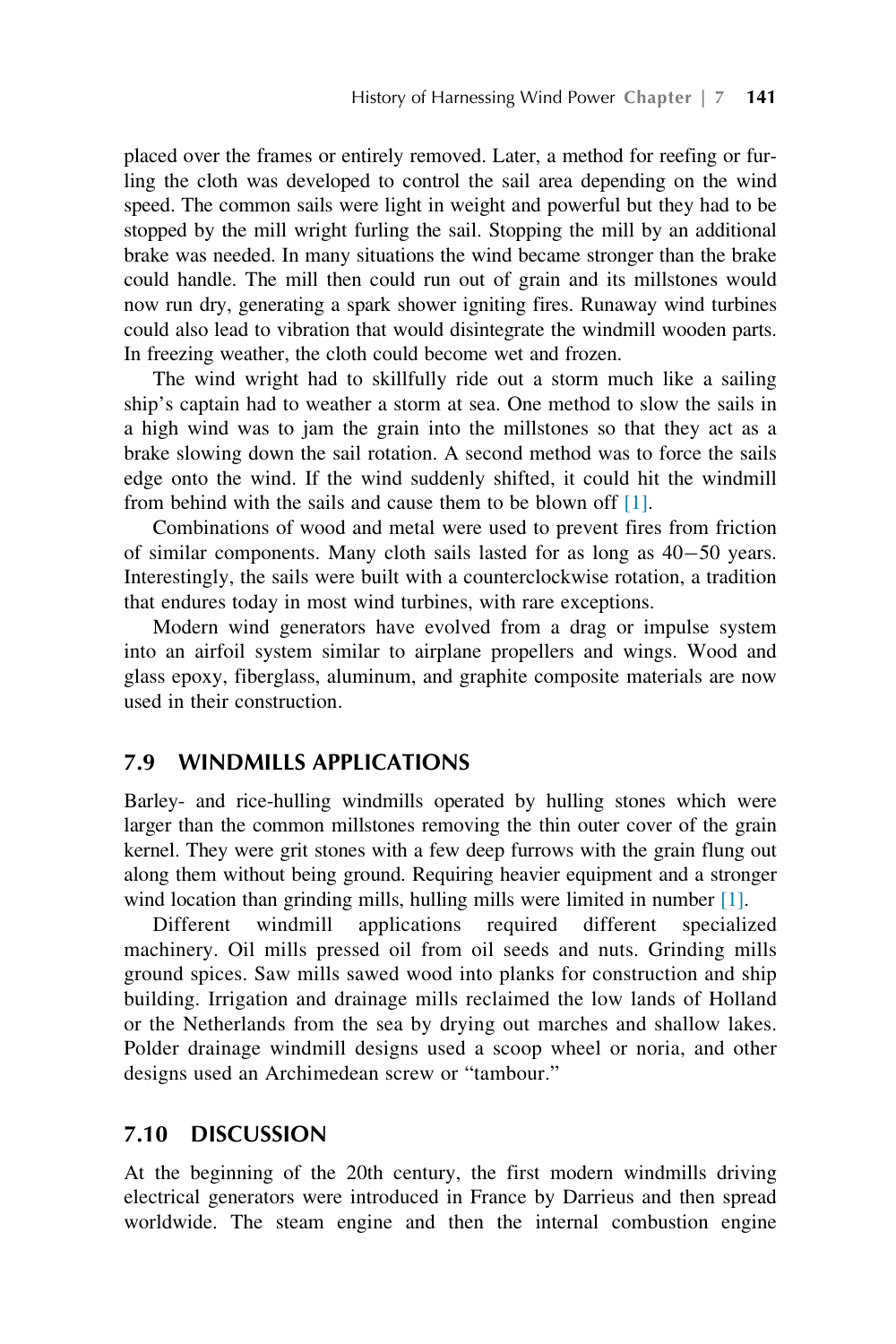placed over the frames or entirely removed. Later, a method for reefing or furling the cloth was developed to control the sail area depending on the wind speed. The common sails were light in weight and powerful but they had to be stopped by the mill wright furling the sail. Stopping the mill by an additional brake was needed. In many situations the wind became stronger than the brake could handle. The mill then could run out of grain and its millstones would now run dry, generating a spark shower igniting fires. Runaway wind turbines could also lead to vibration that would disintegrate the windmill wooden parts. In freezing weather, the cloth could become wet and frozen.

The wind wright had to skillfully ride out a storm much like a sailing ship's captain had to weather a storm at sea. One method to slow the sails in a high wind was to jam the grain into the millstones so that they act as a brake slowing down the sail rotation. A second method was to force the sails edge onto the wind. If the wind suddenly shifted, it could hit the windmill from behind with the sails and cause them to be blown off [1].

Combinations of wood and metal were used to prevent fires from friction of similar components. Many cloth sails lasted for as long as  $40-50$  years. Interestingly, the sails were built with a counterclockwise rotation, a tradition that endures today in most wind turbines, with rare exceptions.

Modern wind generators have evolved from a drag or impulse system into an airfoil system similar to airplane propellers and wings. Wood and glass epoxy, fiberglass, aluminum, and graphite composite materials are now used in their construction.

# 7.9 WINDMILLS APPLICATIONS

Barley- and rice-hulling windmills operated by hulling stones which were larger than the common millstones removing the thin outer cover of the grain kernel. They were grit stones with a few deep furrows with the grain flung out along them without being ground. Requiring heavier equipment and a stronger wind location than grinding mills, hulling mills were limited in number [1].

Different windmill applications required different specialized machinery. Oil mills pressed oil from oil seeds and nuts. Grinding mills ground spices. Saw mills sawed wood into planks for construction and ship building. Irrigation and drainage mills reclaimed the low lands of Holland or the Netherlands from the sea by drying out marches and shallow lakes. Polder drainage windmill designs used a scoop wheel or noria, and other designs used an Archimedean screw or "tambour."

# 7.10 DISCUSSION

At the beginning of the 20th century, the first modern windmills driving electrical generators were introduced in France by Darrieus and then spread worldwide. The steam engine and then the internal combustion engine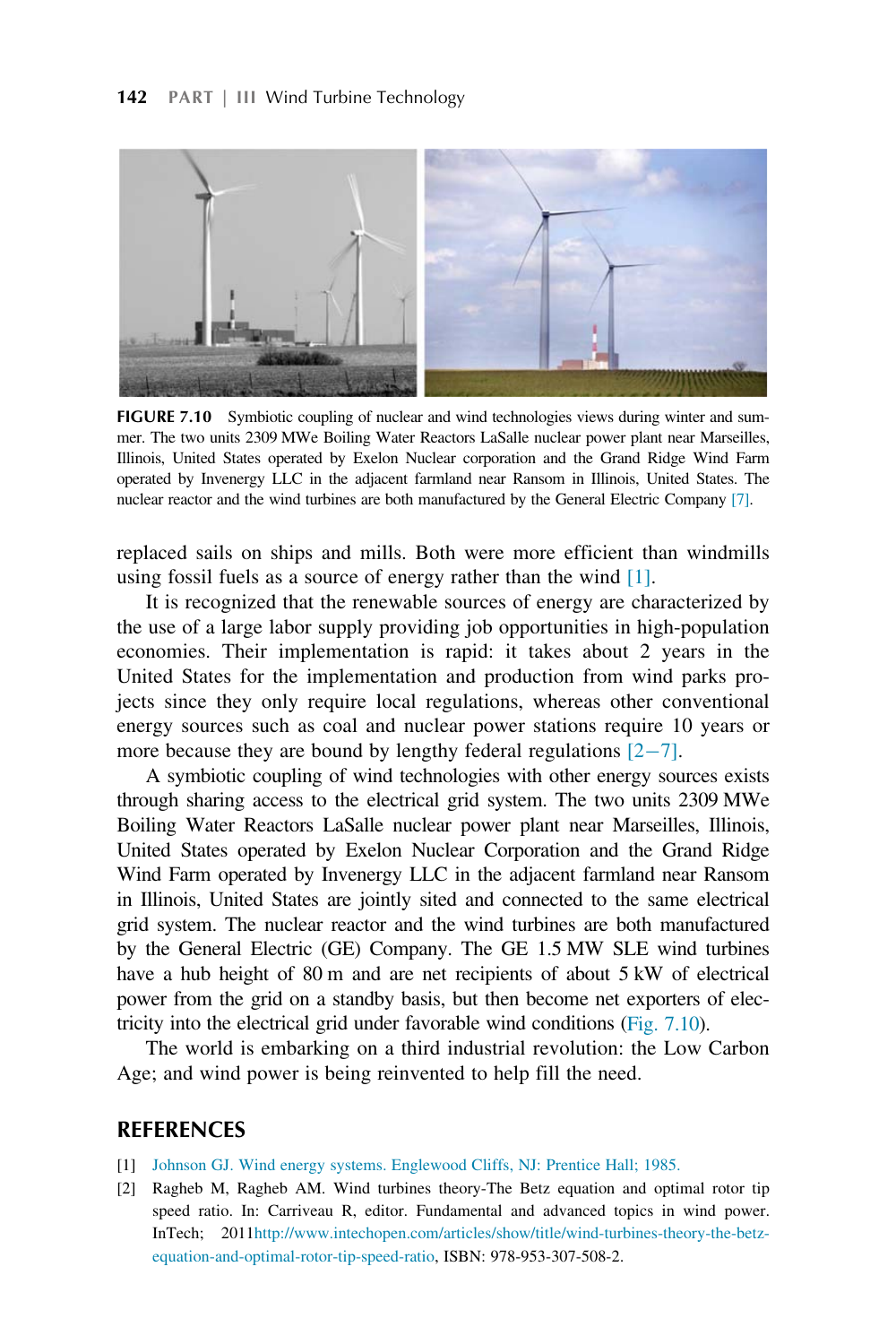

FIGURE 7.10 Symbiotic coupling of nuclear and wind technologies views during winter and summer. The two units 2309 MWe Boiling Water Reactors LaSalle nuclear power plant near Marseilles, Illinois, United States operated by Exelon Nuclear corporation and the Grand Ridge Wind Farm operated by Invenergy LLC in the adjacent farmland near Ransom in Illinois, United States. The nuclear reactor and the wind turbines are both manufactured by the General Electric Company [7].

replaced sails on ships and mills. Both were more efficient than windmills using fossil fuels as a source of energy rather than the wind [1].

It is recognized that the renewable sources of energy are characterized by the use of a large labor supply providing job opportunities in high-population economies. Their implementation is rapid: it takes about 2 years in the United States for the implementation and production from wind parks projects since they only require local regulations, whereas other conventional energy sources such as coal and nuclear power stations require 10 years or more because they are bound by lengthy federal regulations  $[2-7]$ .

A symbiotic coupling of wind technologies with other energy sources exists through sharing access to the electrical grid system. The two units 2309 MWe Boiling Water Reactors LaSalle nuclear power plant near Marseilles, Illinois, United States operated by Exelon Nuclear Corporation and the Grand Ridge Wind Farm operated by Invenergy LLC in the adjacent farmland near Ransom in Illinois, United States are jointly sited and connected to the same electrical grid system. The nuclear reactor and the wind turbines are both manufactured by the General Electric (GE) Company. The GE 1.5 MW SLE wind turbines have a hub height of 80 m and are net recipients of about 5 kW of electrical power from the grid on a standby basis, but then become net exporters of electricity into the electrical grid under favorable wind conditions (Fig. 7.10).

The world is embarking on a third industrial revolution: the Low Carbon Age; and wind power is being reinvented to help fill the need.

#### **REFERENCES**

- [1] [Johnson GJ. Wind energy systems. Englewood Cliffs, NJ: Prentice Hall; 1985.](http://refhub.elsevier.com/B978-0-12-809451-8.00007-2/sbref1)
- [2] Ragheb M, Ragheb AM. Wind turbines theory-The Betz equation and optimal rotor tip speed ratio. In: Carriveau R, editor. Fundamental and advanced topics in wind power. InTech; 2011[http://www.intechopen.com/articles/show/title/wind-turbines-theory-the-betz](http://www.intechopen.com/articles/show/title/wind-turbines-theory-the-betz-equation-and-optimal-rotor-tip-speed-ratio)[equation-and-optimal-rotor-tip-speed-ratio,](http://www.intechopen.com/articles/show/title/wind-turbines-theory-the-betz-equation-and-optimal-rotor-tip-speed-ratio) ISBN: 978-953-307-508-2.